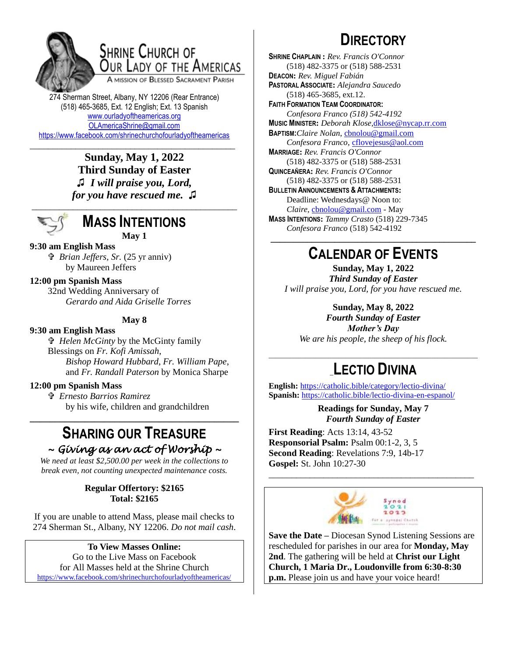

## **SHRINE CHURCH OF** OUR LADY OF THE AMERICAS

A MISSION OF BLESSED SACRAMENT PARISH

274 Sherman Street, Albany, NY 12206 (Rear Entrance) (518) 465-3685, Ext. 12 English; Ext. 13 Spanish [www.ourladyoftheamericas.org](http://www.ourladyoftheamericas.org/) [OLAmericaShrine@gmail.com](mailto:OLAmericaShrine@gmail.com) <https://www.facebook.com/shrinechurchofourladyoftheamericas>

\_\_\_\_\_\_\_\_\_\_\_\_\_\_\_\_\_\_\_\_\_\_\_\_\_\_\_\_\_\_\_\_\_\_\_\_\_\_\_\_\_\_\_\_\_ **Sunday, May 1, 2022 Third Sunday of Easter ♫** *I will praise you, Lord, for you have rescued me.* **♫**



### **MASS INTENTIONS May 1**

#### **9:30 am English Mass**

 *Brian Jeffers, Sr.* (25 yr anniv) by Maureen Jeffers

#### **12:00 pm Spanish Mass**

32nd Wedding Anniversary of *Gerardo and Aida Griselle Torres*

#### **May 8**

#### **9:30 am English Mass**

 *Helen McGinty* by the McGinty family Blessings on *Fr. Kofi Amissah*, *Bishop Howard Hubbard*, *Fr. William Pape*, and *Fr. Randall Paterson* by Monica Sharpe

#### **12:00 pm Spanish Mass**

 *Ernesto Barrios Ramirez*  by his wife, children and grandchildren

# **SHARING OUR TREASURE**

**\_\_\_\_\_\_\_\_\_\_\_\_\_\_\_\_\_\_\_\_\_\_\_\_\_\_\_\_\_\_\_\_\_\_\_\_\_\_\_\_\_\_**

*~ Giving as an act of Worship ~* 

*We need at least \$2,500.00 per week in the collections to break even, not counting unexpected maintenance costs.*

#### **Regular Offertory: \$2165 Total: \$2165**

If you are unable to attend Mass, please mail checks to 274 Sherman St., Albany, NY 12206. *Do not mail cash*.

#### **To View Masses Online:** Go to the Live Mass on Facebook for All Masses held at the Shrine Church <https://www.facebook.com/shrinechurchofourladyoftheamericas/>

# **DIRECTORY**

**SHRINE CHAPLAIN :** *Rev. Francis O'Connor* (518) 482-3375 or (518) 588-2531 **DEACON:** *Rev. Miguel Fabián* **PASTORAL ASSOCIATE:** *Alejandra Saucedo* (518) 465-3685, ext.12. **FAITH FORMATION TEAM COORDINATOR:** *Confesora Franco (518) 542-4192* **MUSIC MINISTER:** *Deborah Klose,*[dklose@nycap.rr.com](mailto:dklose@nycap.rr.com) **BAPTISM:***Claire Nolan*, [cbnolou@gmail.com](mailto:cbnolou@gmail.com) *Confesora Franco*, [cflovejesus@aol.com](mailto:cflovejesus@aol.com) **MARRIAGE:** *Rev. Francis O'Connor* (518) 482-3375 or (518) 588-2531 **QUINCEAÑERA:** *Rev. Francis O'Connor* (518) 482-3375 or (518) 588-2531 **BULLETIN ANNOUNCEMENTS & ATTACHMENTS:** Deadline: Wednesdays@ Noon to: *Claire,* [cbnolou@gmail.com](mailto:cbnolou@gmail.com) - May **MASS INTENTIONS:** *Tammy Crasto* (518) 229-7345 *Confesora Franco* (518) 542-4192 **\_\_\_\_\_\_\_\_\_\_\_\_\_\_\_\_\_\_\_\_\_\_\_\_\_\_\_\_\_\_\_\_\_\_\_\_\_\_\_\_\_\_\_\_\_**

## **CALENDAR OF EVENTS**

**Sunday, May 1, 2022** *Third Sunday of Easter I will praise you, Lord, for you have rescued me.*

#### **Sunday, May 8, 2022**

*Fourth Sunday of Easter Mother's Day We are his people, the sheep of his flock.*

### \_\_\_\_\_\_\_\_\_\_\_\_\_\_\_\_\_\_\_\_\_\_\_\_\_\_\_\_\_\_\_\_\_\_\_\_\_\_\_\_\_\_\_\_\_\_\_\_\_\_\_\_\_\_\_\_\_\_\_\_\_\_\_ \_**LECTIO DIVINA**

**English:** <https://catholic.bible/category/lectio-divina/> **Spanish:** <https://catholic.bible/lectio-divina-en-espanol/>

> **Readings for Sunday, May 7** *Fourth Sunday of Easter*

**First Reading**: Acts 13:14, 43-52 **Responsorial Psalm:** Psalm 00:1-2, 3, 5 **Second Reading**: Revelations 7:9, 14b-17 **Gospel:** St. John 10:27-30



\_\_\_\_\_\_\_\_\_\_\_\_\_\_\_\_\_\_\_\_\_\_\_\_\_\_\_\_\_\_\_\_\_\_\_\_\_\_\_\_\_\_\_\_\_

**Save the Date –** Diocesan Synod Listening Sessions are rescheduled for parishes in our area for **Monday, May 2nd**. The gathering will be held at **Christ our Light Church, 1 Maria Dr., Loudonville from 6:30-8:30 p.m.** Please join us and have your voice heard!